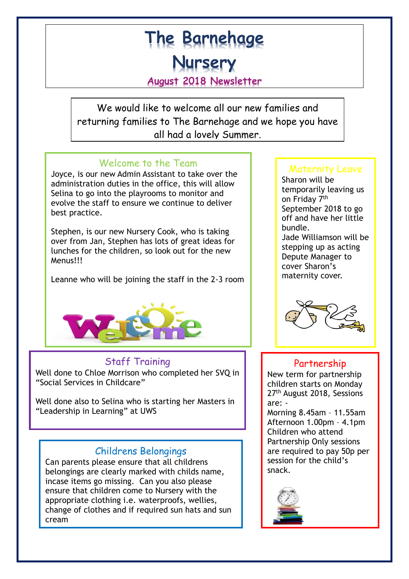# **The Barnehage Nursery August 2018 Newsletter**

We would like to welcome all our new families and returning families to The Barnehage and we hope you have all had a lovely Summer.

# Welcome to the Team

Joyce, is our new Admin Assistant to take over the administration duties in the office, this will allow Selina to go into the playrooms to monitor and evolve the staff to ensure we continue to deliver best practice.

Stephen, is our new Nursery Cook, who is taking over from Jan, Stephen has lots of great ideas for lunches for the children, so look out for the new Menus!!!

Leanne who will be joining the staff in the 2-3 room



# Staff Training

Well done to Chloe Morrison who completed her SVQ in "Social Services in Childcare"

Well done also to Selina who is starting her Masters in "Leadership in Learning" at UWS

ī

## Childrens Belongings

Can parents please ensure that all childrens belongings are clearly marked with childs name, incase items go missing. Can you also please ensure that children come to Nursery with the appropriate clothing i.e. waterproofs, wellies, change of clothes and if required sun hats and sun cream

## Maternity Leave

Sharon will be temporarily leaving us on Friday 7<sup>th</sup> September 2018 to go off and have her little bundle. Jade Williamson will be stepping up as acting Depute Manager to cover Sharon's maternity cover.



## Partnership

New term for partnership children starts on Monday 27<sup>th</sup> August 2018, Sessions are: -

Morning 8.45am – 11.55am Afternoon 1.00pm – 4.1pm Children who attend Partnership Only sessions are required to pay 50p per session for the child's snack.